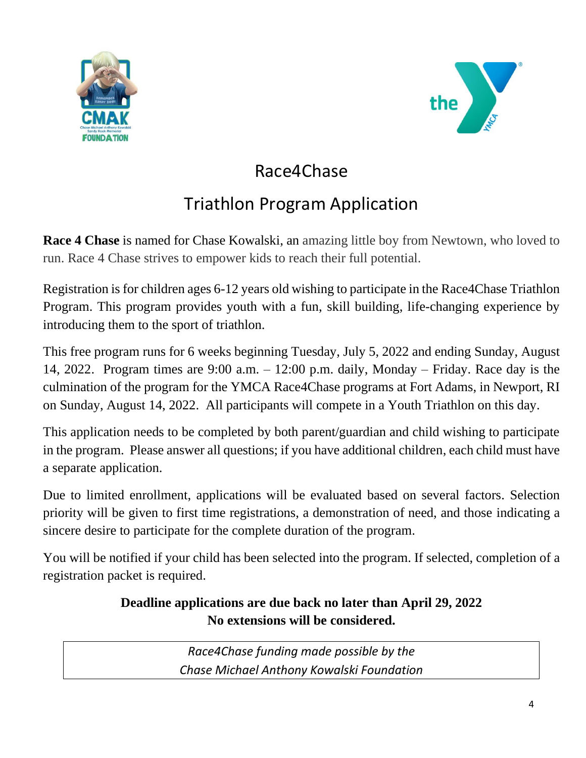



## Race4Chase

## Triathlon Program Application

**Race 4 Chase** is named for Chase Kowalski, an amazing little boy from Newtown, who loved to run. Race 4 Chase strives to empower kids to reach their full potential.

Registration is for children ages 6-12 years old wishing to participate in the Race4Chase Triathlon Program. This program provides youth with a fun, skill building, life-changing experience by introducing them to the sport of triathlon.

This free program runs for 6 weeks beginning Tuesday, July 5, 2022 and ending Sunday, August 14, 2022. Program times are 9:00 a.m. – 12:00 p.m. daily, Monday – Friday. Race day is the culmination of the program for the YMCA Race4Chase programs at Fort Adams, in Newport, RI on Sunday, August 14, 2022. All participants will compete in a Youth Triathlon on this day.

This application needs to be completed by both parent/guardian and child wishing to participate in the program. Please answer all questions; if you have additional children, each child must have a separate application.

Due to limited enrollment, applications will be evaluated based on several factors. Selection priority will be given to first time registrations, a demonstration of need, and those indicating a sincere desire to participate for the complete duration of the program.

You will be notified if your child has been selected into the program. If selected, completion of a registration packet is required.

## **Deadline applications are due back no later than April 29, 2022 No extensions will be considered.**

*Race4Chase funding made possible by the Chase Michael Anthony Kowalski Foundation*